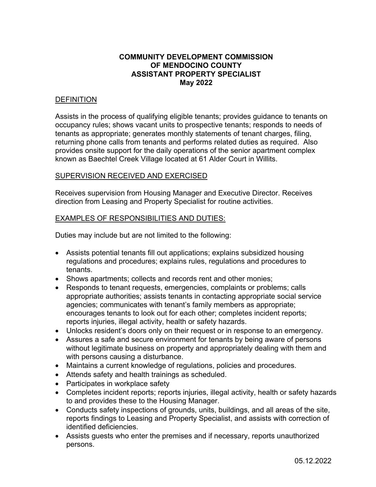# **COMMUNITY DEVELOPMENT COMMISSION OF MENDOCINO COUNTY ASSISTANT PROPERTY SPECIALIST May 2022**

# **DEFINITION**

Assists in the process of qualifying eligible tenants; provides guidance to tenants on occupancy rules; shows vacant units to prospective tenants; responds to needs of tenants as appropriate; generates monthly statements of tenant charges, filing, returning phone calls from tenants and performs related duties as required. Also provides onsite support for the daily operations of the senior apartment complex known as Baechtel Creek Village located at 61 Alder Court in Willits.

#### SUPERVISION RECEIVED AND EXERCISED

Receives supervision from Housing Manager and Executive Director. Receives direction from Leasing and Property Specialist for routine activities.

### EXAMPLES OF RESPONSIBILITIES AND DUTIES:

Duties may include but are not limited to the following:

- Assists potential tenants fill out applications; explains subsidized housing regulations and procedures; explains rules, regulations and procedures to tenants.
- Shows apartments; collects and records rent and other monies;
- Responds to tenant requests, emergencies, complaints or problems; calls appropriate authorities; assists tenants in contacting appropriate social service agencies; communicates with tenant's family members as appropriate; encourages tenants to look out for each other; completes incident reports; reports injuries, illegal activity, health or safety hazards.
- Unlocks resident's doors only on their request or in response to an emergency.
- Assures a safe and secure environment for tenants by being aware of persons without legitimate business on property and appropriately dealing with them and with persons causing a disturbance.
- Maintains a current knowledge of regulations, policies and procedures.
- Attends safety and health trainings as scheduled.
- Participates in workplace safety
- Completes incident reports; reports injuries, illegal activity, health or safety hazards to and provides these to the Housing Manager.
- Conducts safety inspections of grounds, units, buildings, and all areas of the site, reports findings to Leasing and Property Specialist, and assists with correction of identified deficiencies.
- Assists guests who enter the premises and if necessary, reports unauthorized persons.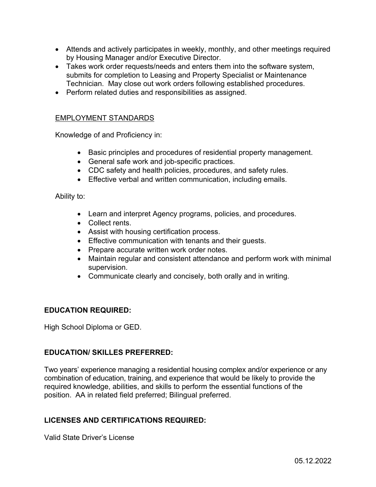- Attends and actively participates in weekly, monthly, and other meetings required by Housing Manager and/or Executive Director.
- Takes work order requests/needs and enters them into the software system, submits for completion to Leasing and Property Specialist or Maintenance Technician. May close out work orders following established procedures.
- Perform related duties and responsibilities as assigned.

# EMPLOYMENT STANDARDS

Knowledge of and Proficiency in:

- Basic principles and procedures of residential property management.
- General safe work and job-specific practices.
- CDC safety and health policies, procedures, and safety rules.
- **Effective verbal and written communication, including emails.**

Ability to:

- Learn and interpret Agency programs, policies, and procedures.
- Collect rents.
- Assist with housing certification process.
- **Effective communication with tenants and their guests.**
- Prepare accurate written work order notes.
- Maintain regular and consistent attendance and perform work with minimal supervision.
- Communicate clearly and concisely, both orally and in writing.

### **EDUCATION REQUIRED:**

High School Diploma or GED.

### **EDUCATION/ SKILLES PREFERRED:**

Two years' experience managing a residential housing complex and/or experience or any combination of education, training, and experience that would be likely to provide the required knowledge, abilities, and skills to perform the essential functions of the position. AA in related field preferred; Bilingual preferred.

# **LICENSES AND CERTIFICATIONS REQUIRED:**

Valid State Driver's License